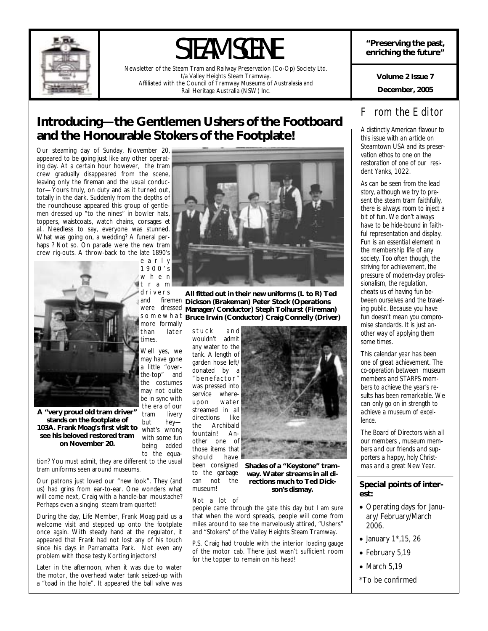

# STEAM SCENE

Newsletter of the Steam Tram and Railway Preservation (Co-Op) Society Ltd. t/a Valley Heights Steam Tramway. Affiliated with the Council of Tramway Museums of Australasia and Rail Heritage Australia (NSW) Inc.

**"Preserving the past, enriching the future"** 

> **December, 2005 Volume 2 Issue 7**

# **Introducing—the Gentlemen Ushers of the Footboard and the Honourable Stokers of the Footplate!**

Our steaming day of Sunday, November 20, appeared to be going just like any other operating day. At a certain hour however, the tram crew gradually disappeared from the scene, leaving only the fireman and the usual conductor—Yours truly, on duty and as it turned out, totally in the dark. Suddenly from the depths of the roundhouse appeared this group of gentlemen dressed up "to the nines" in bowler hats, toppers, waistcoats, watch chains, corsages *et al..* Needless to say, everyone was stunned. What was going on, a wedding? A funeral perhaps ? Not so. On parade were the new tram crew rig-outs. A throw-back to the late 1890's



**A "very proud old tram driver" stands on the footplate of 103A. Frank Moag's first visit to see his beloved restored tram on November 20.** 

tion? You must admit, they are different to the usual tram uniforms seen around museums.

Our patrons just loved our "new look". They (and us) had grins from ear-to-ear. One wonders what will come next, Craig with a handle-bar moustache? Perhaps even a singing steam tram quartet!

During the day, Life Member, Frank Moag paid us a welcome visit and stepped up onto the footplate once again. With steady hand at the regulator, it appeared that Frank had not lost any of his touch since his days in Parramatta Park. Not even any problem with those testy Korting injectors!

Later in the afternoon, when it was due to water the motor, the overhead water tank seized-up with a "toad in the hole". It appeared the ball valve was



d r i v e r s and firemen **Dickson (Brakeman) Peter Stock (Operations**  were dressed **Manager/ Conductor) Steph Tolhurst (Fireman)**  s o m e w h a t **Bruce Irwin (Conductor) Craig Connelly (Driver)**  more formally **All fitted out in their new uniforms (L to R) Ted** 

stuck and wouldn't admit any water to the tank. A length of garden hose left/ donated by a " benefactor" was pressed into service whereupon water streamed in all<br>directions like directions<br>the Ard Archibald fountain! Another one of those items that should have been consigned to the garbage can not the museum!

tram livery but hey what's wrong with some fun being added to the equa-



**Shades of a "Keystone" tramway. Water streams in all directions much to Ted Dickson's dismay.** 

Not a lot of

people came through the gate this day but I am sure that when the word spreads, people will come from miles around to see the marvelously attired, "Ushers" and "Stokers" of the Valley Heights Steam Tramway.

P.S. Craig had trouble with the interior loading gauge of the motor cab. There just wasn't sufficient room for the topper to remain on his head!

# *From the Editor*

*A distinctly American flavour to this issue with an article on Steamtown USA and its preservation ethos to one on the restoration of one of our resident Yanks, 1022.* 

*As can be seen from the lead story, although we try to present the steam tram faithfully, there is always room to inject a bit of fun. We don't always have to be hide-bound in faithful representation and display. Fun is an essential element in the membership life of any society. Too often though, the striving for achievement, the pressure of modern-day professionalism, the regulation, cheats us of having fun between ourselves and the traveling public. Because you have fun doesn't mean you compromise standards. It is just another way of applying them some times.* 

*This calendar year has been one of great achievement. The co-operation between museum members and STARPS members to achieve the year's results has been remarkable. We can only go on in strength to achieve a museum of excellence.* 

*The Board of Directors wish all our members , museum members and our friends and supporters a happy, holy Christmas and a great New Year.* 

### **Special points of interest:**

- Operating days for January/ February/March 2006.
- January 1\*,15, 26
- February 5,19
- March 5,19
- \*To be confirmed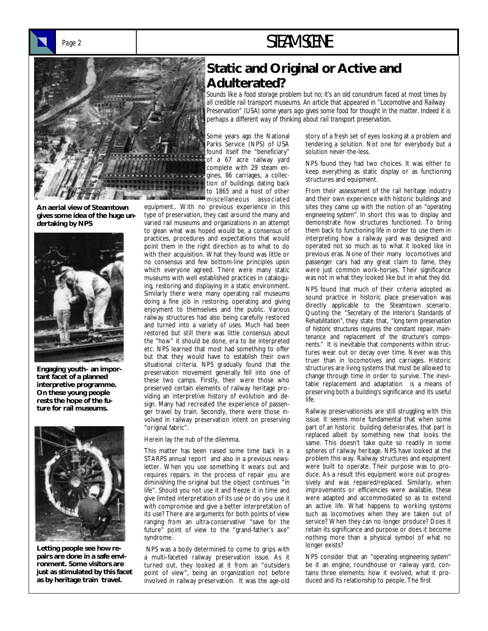# Page 2 **STEAM SCENE**



**An aerial view of Steamtown gives some idea of the huge undertaking by NPS** 



**Engaging youth– an important facet of a planned interpretive programme. On these young people rests the hope of the future for rail museums.** 



**Letting people see how repairs are done in a safe environment. Some visitors are just as stimulated by this facet as by heritage train travel.** 

# **Static and Original or Active and Adulterated?**

*Sounds like a food storage problem but no; it's an old conundrum faced at most times by all credible rail transport museums. An article that appeared in "Locomotive and Railway Preservation" (USA) some years ago gives some food for thought in the matter. Indeed it is perhaps a different way of thinking about rail transport preservation.* 

Some years ago the National Parks Service (NPS) of USA found itself the "beneficiary" of a 67 acre railway yard complete with 29 steam engines, 86 carriages, a collection of buildings dating back to 1865 and a host of other miscellaneous associated

equipment.. With no previous experience in this type of preservation, they cast around the many and varied rail museums and organizations in an attempt to glean what was hoped would be, a consensus of practices, procedures and expectations that would point them in the right direction as to what to do with their acquisition. What they found was little or no consensus and few bottom-line principles upon which everyone agreed. There were many static museums with well established practices in cataloguing, restoring and displaying in a static environment. Similarly there were many operating rail museums doing a fine job in restoring, operating and giving enjoyment to themselves and the public. Various railway structures had also being carefully restored and turned into a variety of uses. Much had been restored but still there was little consensus about the "how" it should be done, era to be interpreted etc. NPS learned that most had something to offer but that they would have to establish their own situational criteria. NPS gradually found that the preservation movement generally fell into one of these two camps. Firstly, their were those who preserved certain elements of railway heritage providing an interpretive history of evolution and design. Many had recreated the experience of passenger travel by train. Secondly, there were those involved in railway preservation intent on preserving "original fabric".

Herein lay the nub of the dilemma.

This matter has been raised some time back in a STARPS annual report and also in a previous newsletter. When you use something it wears out and requires repairs. In the process of repair you are diminishing the original but the object continues "in life". Should you not use it and freeze it in time and give limited interpretation of its use or do you use it with compromise and give a better interpretation of its use? There are arguments for both points of view ranging from an ultra-conservative "save for the future" point of view to the "grand-father's axe" syndrome.

 NPS was a body determined to come to grips with a multi-faceted railway preservation issue. As it turned out, they looked at it from an "outsiders point of view", being an organization not before involved in railway preservation. It was the age-old

story of a fresh set of eyes looking at a problem and tendering a solution. Not one for everybody but a solution never-the-less.

NPS found they had two choices. It was either to keep everything as static display or as functioning structures and equipment.

From their assessment of the rail heritage industry and their own experience with historic buildings and sites they came up with the notion of an *"operating engineering system".* In short this was to display and demonstrate how structures functioned. To bring them back to functioning life in order to use them in interpreting how a railway yard was designed and operated not so much as to what it looked like in previous eras. None of their many locomotives and passenger cars had any great claim to fame, they were just common work-horses. Their significance was not in what they looked like but in *what they did.* 

NPS found that much of their criteria adopted as sound practice in historic place preservation was directly applicable to the Steamtown scenario. Quoting the *"Secretary of the Interior's Standards of Rehabilitation",* they state that, *"long term preservation of historic structures requires the constant repair, maintenance and replacement of the structure's components."* It is inevitable that components within structures wear out or decay over time. Never was this truer than in locomotives and carriages. Historic structures are living systems that must be allowed to change through time in order to survive. The inevitable replacement and adaptation is a means of preserving both a building's significance and its useful life.

Railway preservationists are still struggling with this issue. It seems more fundamental that when some part of an historic building deteriorates, that part is replaced albeit by something new that looks the same. This doesn't take quite so readily in some spheres of railway heritage. NPS have looked at the problem this way. Railway structures and equipment were built to operate. Their purpose was to produce. As a result this equipment wore out progressively and was repaired/replaced. Similarly, when improvements or efficiencies were available, these were adapted and accommodated so as to extend an active life. What happens to working systems such as locomotives when they are taken out of service? When they can no longer produce? Does it retain its significance and purpose or does it become nothing more than a physical symbol of what no longer exists?

NPS consider that an *"operating engineering system"*  be it an engine, roundhouse or railway yard, contains three elements: how it evolved, what it produced and its relationship to people. The first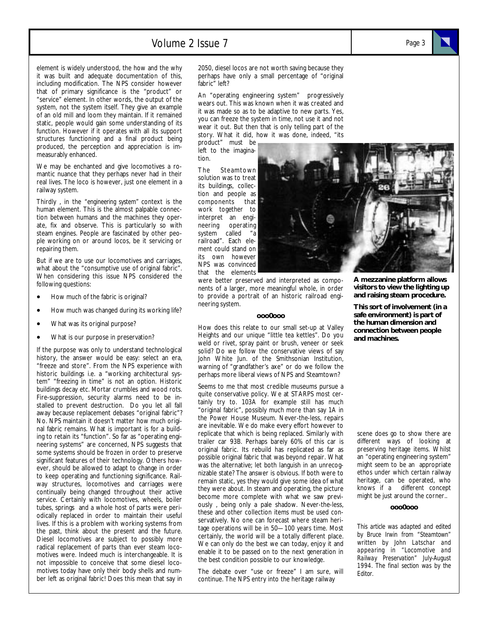### Volume 2 Issue 7

element is widely understood, the how and the why it was built and adequate documentation of this, including modification. The NPS consider however that of primary significance is the "product" or "service" element. In other words, the output of the system, not the system itself. They give an example of an old mill and loom they maintain. If it remained static, people would gain some understanding of its function. However if it operates with all its support structures functioning and a final product being produced, the perception and appreciation is immeasurably enhanced.

We may be enchanted and give locomotives a romantic nuance that they perhaps never had in their real lives. The loco is however, just one element in a railway system.

Thirdly , in the *"engineering system"* context is the human element. This is the almost palpable connection between humans and the machines they operate, fix and observe. This is particularly so with steam engines. People are fascinated by other people working on or around locos, be it servicing or repairing them.

But if we are to use our locomotives and carriages, what about the "consumptive use of original fabric". When considering this issue NPS considered the following questions:

- How much of the fabric is original?
- How much was changed during its working life?
- What was its original purpose?
- What is our purpose in preservation?

If the purpose was only to understand technological history, the answer would be easy: select an era, "freeze and store". From the NPS experience with historic buildings i.e. a "working architectural system" "freezing in time" is not an option. Historic buildings decay etc. Mortar crumbles and wood rots. Fire-suppression, security alarms need to be installed to prevent destruction. Do you let all fall away because replacement debases "original fabric"? No. NPS maintain it doesn't matter how much original fabric remains. What is important is for a building to retain its "function". So far as "operating engineering systems" are concerned, NPS suggests that some systems should be frozen in order to preserve significant features of their technology. Others however, should be allowed to adapt to change in order to keep operating and functioning significance. Railway structures, locomotives and carriages were continually being changed throughout their active service. Certainly with locomotives, wheels, boiler tubes, springs and a whole host of parts were periodically replaced in order to maintain their useful lives. If this is a problem with working systems from the past, think about the present and the future. Diesel locomotives are subject to possibly more radical replacement of parts than ever steam locomotives were. Indeed much is interchangeable. It is not impossible to conceive that some diesel locomotives today have only their body shells and number left as original fabric! Does this mean that say in 2050, diesel locos are not worth saving because they perhaps have only a small percentage of "original fabric" left?

An "operating engineering system" progressively wears out. This was known when it was created and it was made so as to be adaptive to new parts. Yes, you can freeze the system in time, not use it and not wear it out. But then that is only telling part of the story. What it did, how it was done, indeed, "its

product" must be left to the imagination.

The Steamtown solution was to treat its buildings, collection and people as components that work together to interpret an engineering operating system called "a railroad". Each element could stand on its own however NPS was convinced that the elements

were better preserved and interpreted as components of a larger, more meaningful whole, in order to provide a portrait of an historic railroad engineering system.

#### **ooo0ooo**

How does this relate to our small set-up at Valley Heights and our unique "little tea kettles". Do you weld or rivet, spray paint or brush, veneer or seek solid? Do we follow the conservative views of say John White Jun. of the Smithsonian Institution, warning of "grandfather's axe" or do we follow the perhaps more liberal views of NPS and Steamtown?

Seems to me that most credible museums pursue a quite conservative policy. We at STARPS most certainly try to. 103A for example still has much "original fabric", possibly much more than say 1A in the Power House Museum. Never-the-less, repairs are inevitable. We do make every effort however to replicate that which is being replaced. Similarly with trailer car 93B. Perhaps barely 60% of this car is original fabric. Its rebuild has replicated as far as possible original fabric that was beyond repair. What was the alternative; let both languish in an unrecognizable state? The answer is obvious. If both were to remain static, yes they would give some idea of what they were about. In steam and operating, the picture become more complete with what we saw previously , being only a pale shadow. Never-the-less, these and other collection items must be used conservatively. No one can forecast where steam heritage operations will be in 50—100 years time. Most certainly, the world will be a totally different place. We can only do the best we can today, enjoy it and enable it to be passed on to the next generation in the best condition possible to our knowledge.

The debate over "use or freeze" I am sure, will continue. The NPS entry into the heritage railway

**A mezzanine platform allows visitors to view the lighting up and raising steam procedure.** 

**This sort of involvement (in a safe environment) is part of the human dimension and connection between people and machines.** 

scene does go to show there are different ways of looking at preserving heritage items. Whilst an "operating engineering system" might seem to be an appropriate ethos under which certain railway heritage, can be operated, who knows if a different concept might be just around the corner..

#### **ooo0ooo**

*This article was adapted and edited by Bruce Irwin from "Steamtown" written by John Latschar and appearing in "Locomotive and Railway Preservation" July-August 1994. The final section was by the Editor.* 

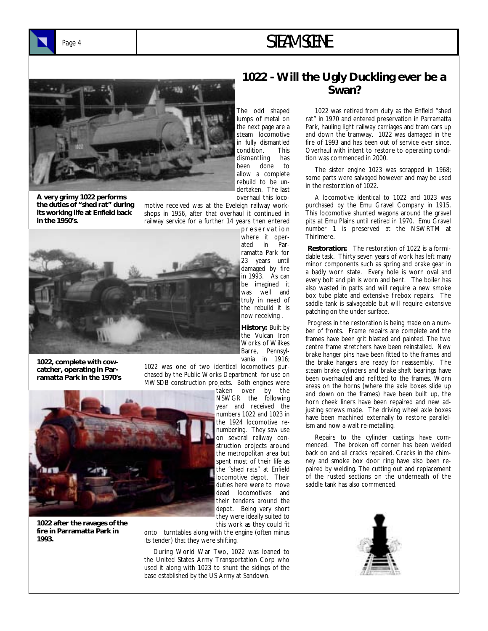

# Page 4 **STEAM SCENE**



**A very grimy 1022 performs the duties of "shed rat" during its working life at Enfield back in the 1950's.** 

The odd shaped lumps of metal on the next page are a steam locomotive in fully dismantled condition. This dismantling has been done to allow a complete rebuild to be undertaken. The last overhaul this loco-

p r e s e r v a t i o n

23 years until damaged by fire in 1993. As can

motive received was at the Eveleigh railway workshops in 1956, after that overhaul it continued in railway service for a further 14 years then entered



**1022, complete with cowcatcher, operating in Parramatta Park in the 1970's** 

be imagined it was well and truly in need of the rebuild it is now receiving . **History:** Built by the Vulcan Iron Works of Wilkes Barre, Pennsyl-

vania in 1916;

1022 was one of two identical locomotives purchased by the Public Works Department for use on MWSDB construction projects. Both engines were



**1022 after the ravages of the fire in Parramatta Park in 1993.** 

taken over by the NSWGR the following year and received the numbers 1022 and 1023 in the 1924 locomotive renumbering. They saw use on several railway construction projects around the metropolitan area but spent most of their life as the "shed rats" at Enfield locomotive depot. Their duties here were to move dead locomotives and their tenders around the depot. Being very short they were ideally suited to

this work as they could fit onto turntables along with the engine (often minus its tender) that they were shifting.

 During World War Two, 1022 was loaned to the United States Army Transportation Corp who used it along with 1023 to shunt the sidings of the base established by the US Army at Sandown.

## **1022 - Will the Ugly Duckling ever be a Swan?**

 1022 was retired from duty as the Enfield "shed rat" in 1970 and entered preservation in Parramatta Park, hauling light railway carriages and tram cars up and down the tramway. 1022 was damaged in the fire of 1993 and has been out of service ever since. Overhaul with intent to restore to operating condition was commenced in 2000.

 The sister engine 1023 was scrapped in 1968; some parts were salvaged however and may be used in the restoration of 1022.

 A locomotive identical to 1022 and 1023 was purchased by the Emu Gravel Company in 1915. This locomotive shunted wagons around the gravel pits at Emu Plains until retired in 1970. Emu Gravel number 1 is preserved at the NSWRTM at Thirlmere.

**Restoration:** The restoration of 1022 is a formidable task. Thirty seven years of work has left many minor components such as spring and brake gear in a badly worn state. Every hole is worn oval and every bolt and pin is worn and bent. The boiler has also wasted in parts and will require a new smoke box tube plate and extensive firebox repairs. The saddle tank is salvageable but will require extensive patching on the under surface.

 Progress in the restoration is being made on a number of fronts. Frame repairs are complete and the frames have been grit blasted and painted. The two centre frame stretchers have been reinstalled. New brake hanger pins have been fitted to the frames and the brake hangers are ready for reassembly. The steam brake cylinders and brake shaft bearings have been overhauled and refitted to the frames. Worn areas on the horns (where the axle boxes slide up and down on the frames) have been built up, the horn cheek liners have been repaired and new adjusting screws made. The driving wheel axle boxes have been machined externally to restore parallelism and now a-wait re-metalling.

 Repairs to the cylinder castings have commenced. The broken off corner has been welded back on and all cracks repaired. Cracks in the chimney and smoke box door ring have also been repaired by welding. The cutting out and replacement of the rusted sections on the underneath of the saddle tank has also commenced.

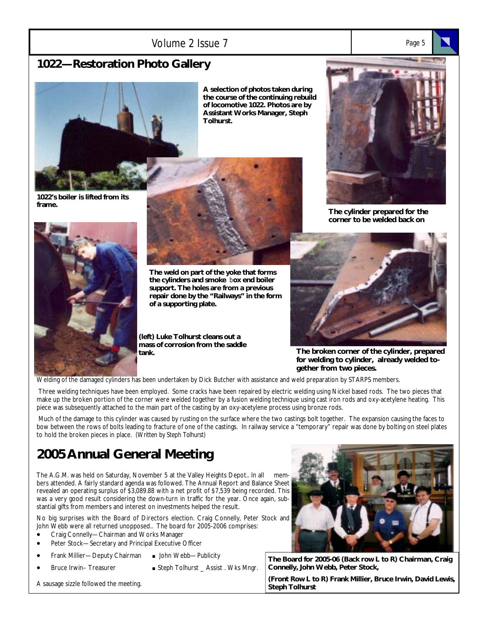### Volume 2 Issue 7 *Page 5*

# **1022—Restoration Photo Gallery**



**A selection of photos taken during the course of the continuing rebuild of locomotive 1022. Photos are by Assistant Works Manager, Steph Tolhurst.** 

**1022's boiler is lifted from its frame.** 



**The weld on part of the yoke that forms the cylinders and smoke** b**ox end boiler support. The holes are from a previous repair done by the "Railways" in the form of a supporting plate.** 

**(left) Luke Tolhurst cleans out a mass of corrosion from the saddle tank.** 



**The cylinder prepared for the corner to be welded back on** 



**The broken corner of the cylinder, prepared for welding to cylinder, already welded together from two pieces.** 

Welding of the damaged cylinders has been undertaken by Dick Butcher with assistance and weld preparation by STARPS members.

 Three welding techniques have been employed. Some cracks have been repaired by electric welding using Nickel based rods. The two pieces that make up the broken portion of the corner were welded together by a fusion welding technique using cast iron rods and oxy-acetylene heating. This piece was subsequently attached to the main part of the casting by an oxy-acetylene process using bronze rods.

 Much of the damage to this cylinder was caused by rusting on the surface where the two castings bolt together. The expansion causing the faces to bow between the rows of bolts leading to fracture of one of the castings. In railway service a "temporary" repair was done by bolting on steel plates to hold the broken pieces in place. *(Written by Steph Tolhurst)* 

# **2005 Annual General Meeting**

The A.G.M. was held on Saturday, November 5 at the Valley Heights Depot.. In all members attended. A fairly standard agenda was followed. The Annual Report and Balance Sheet revealed an operating surplus of \$3,089.88 with a net profit of \$7,539 being recorded. This was a very good result considering the down-turn in traffic for the year. Once again, substantial gifts from members and interest on investments helped the result.

No big surprises with the Board of Directors election. Craig Connelly, Peter Stock and John Webb were all returned unopposed.. The board for 2005-2006 comprises:

- Craig Connelly—Chairman and Works Manager
- Peter Stock-Secretary and Principal Executive Officer
- Frank Millier—Deputy Chairman **.** John Webb—Publicity
- 
- Bruce Irwin– Treasurer **.** Steph Tolhurst \_ Assist . Wks Mngr.

A sausage sizzle followed the meeting.



**The Board for 2005-06 (Back row L to R) Chairman, Craig Connelly, John Webb, Peter Stock,** 

**(Front Row L to R) Frank Millier, Bruce Irwin, David Lewis, Steph Tolhurst**